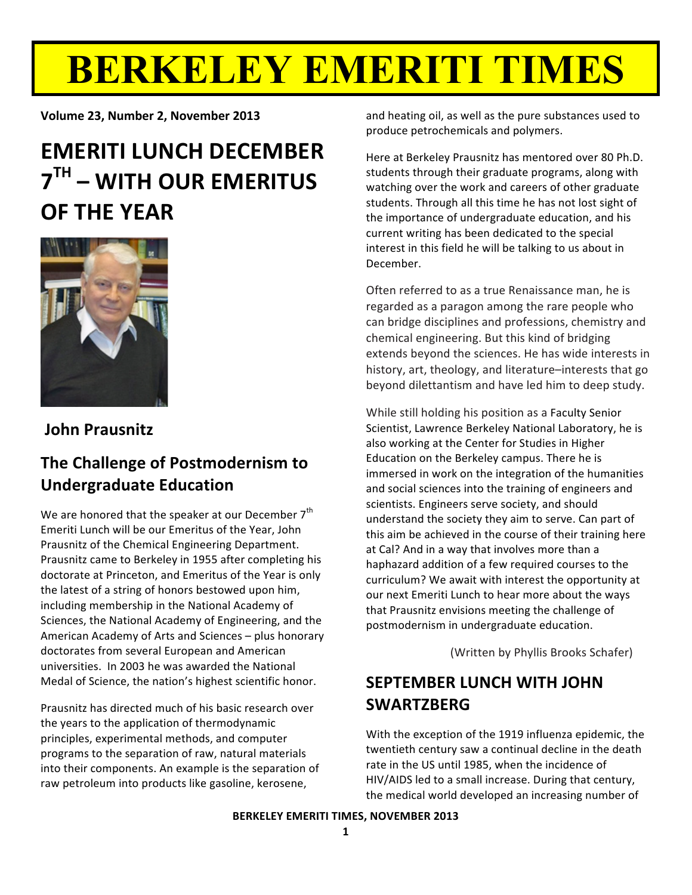# **BERKELEY EMERITI TIMES**

Volume 23, Number 2, November 2013

### **EMERITI LUNCH DECEMBER**  $7<sup>TH</sup>$  – WITH OUR EMERITUS **OF THE YEAR**



#### **John Prausnitz**

#### The Challenge of Postmodernism to **Undergraduate Education**

We are honored that the speaker at our December 7<sup>th</sup> Emeriti Lunch will be our Emeritus of the Year, John Prausnitz of the Chemical Engineering Department. Prausnitz came to Berkeley in 1955 after completing his doctorate at Princeton, and Emeritus of the Year is only the latest of a string of honors bestowed upon him, including membership in the National Academy of Sciences, the National Academy of Engineering, and the American Academy of Arts and Sciences - plus honorary doctorates from several European and American universities. In 2003 he was awarded the National Medal of Science, the nation's highest scientific honor.

Prausnitz has directed much of his basic research over the years to the application of thermodynamic principles, experimental methods, and computer programs to the separation of raw, natural materials into their components. An example is the separation of raw petroleum into products like gasoline, kerosene,

and heating oil, as well as the pure substances used to produce petrochemicals and polymers.

Here at Berkeley Prausnitz has mentored over 80 Ph.D. students through their graduate programs, along with watching over the work and careers of other graduate students. Through all this time he has not lost sight of the importance of undergraduate education, and his current writing has been dedicated to the special interest in this field he will be talking to us about in December.

Often referred to as a true Renaissance man, he is regarded as a paragon among the rare people who can bridge disciplines and professions, chemistry and chemical engineering. But this kind of bridging extends beyond the sciences. He has wide interests in history, art, theology, and literature-interests that go beyond dilettantism and have led him to deep study.

While still holding his position as a Faculty Senior Scientist, Lawrence Berkeley National Laboratory, he is also working at the Center for Studies in Higher Education on the Berkeley campus. There he is immersed in work on the integration of the humanities and social sciences into the training of engineers and scientists. Engineers serve society, and should understand the society they aim to serve. Can part of this aim be achieved in the course of their training here at Cal? And in a way that involves more than a haphazard addition of a few required courses to the curriculum? We await with interest the opportunity at our next Emeriti Lunch to hear more about the ways that Prausnitz envisions meeting the challenge of postmodernism in undergraduate education.

(Written by Phyllis Brooks Schafer)

#### **SEPTEMBER LUNCH WITH JOHN SWARTZBFRG**

With the exception of the 1919 influenza epidemic, the twentieth century saw a continual decline in the death rate in the US until 1985, when the incidence of HIV/AIDS led to a small increase. During that century, the medical world developed an increasing number of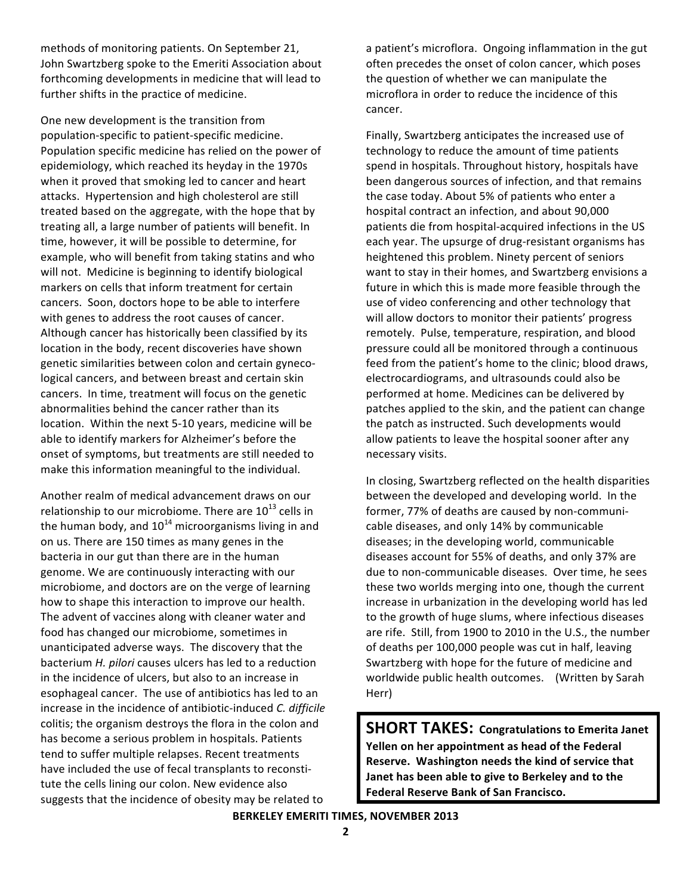methods of monitoring patients. On September 21, John Swartzberg spoke to the Emeriti Association about forthcoming developments in medicine that will lead to further shifts in the practice of medicine.

One new development is the transition from population-specific to patient-specific medicine. Population specific medicine has relied on the power of epidemiology, which reached its heyday in the 1970s when it proved that smoking led to cancer and heart attacks. Hypertension and high cholesterol are still treated based on the aggregate, with the hope that by treating all, a large number of patients will benefit. In time, however, it will be possible to determine, for example, who will benefit from taking statins and who will not. Medicine is beginning to identify biological markers on cells that inform treatment for certain cancers. Soon, doctors hope to be able to interfere with genes to address the root causes of cancer. Although cancer has historically been classified by its location in the body, recent discoveries have shown genetic similarities between colon and certain gynecological cancers, and between breast and certain skin cancers. In time, treatment will focus on the genetic abnormalities behind the cancer rather than its location. Within the next 5-10 years, medicine will be able to identify markers for Alzheimer's before the onset of symptoms, but treatments are still needed to make this information meaningful to the individual.

Another realm of medical advancement draws on our relationship to our microbiome. There are 10<sup>13</sup> cells in the human body, and  $10^{14}$  microorganisms living in and on us. There are 150 times as many genes in the bacteria in our gut than there are in the human genome. We are continuously interacting with our microbiome, and doctors are on the verge of learning how to shape this interaction to improve our health. The advent of vaccines along with cleaner water and food has changed our microbiome, sometimes in unanticipated adverse ways. The discovery that the bacterium H. pilori causes ulcers has led to a reduction in the incidence of ulcers, but also to an increase in esophageal cancer. The use of antibiotics has led to an increase in the incidence of antibiotic-induced C. difficile colitis; the organism destroys the flora in the colon and has become a serious problem in hospitals. Patients tend to suffer multiple relapses. Recent treatments have included the use of fecal transplants to reconstitute the cells lining our colon. New evidence also suggests that the incidence of obesity may be related to

a patient's microflora. Ongoing inflammation in the gut often precedes the onset of colon cancer, which poses the question of whether we can manipulate the microflora in order to reduce the incidence of this cancer.

Finally, Swartzberg anticipates the increased use of technology to reduce the amount of time patients spend in hospitals. Throughout history, hospitals have been dangerous sources of infection, and that remains the case today. About 5% of patients who enter a hospital contract an infection, and about 90,000 patients die from hospital-acquired infections in the US each year. The upsurge of drug-resistant organisms has heightened this problem. Ninety percent of seniors want to stay in their homes, and Swartzberg envisions a future in which this is made more feasible through the use of video conferencing and other technology that will allow doctors to monitor their patients' progress remotely. Pulse, temperature, respiration, and blood pressure could all be monitored through a continuous feed from the patient's home to the clinic; blood draws, electrocardiograms, and ultrasounds could also be performed at home. Medicines can be delivered by patches applied to the skin, and the patient can change the patch as instructed. Such developments would allow patients to leave the hospital sooner after any necessary visits.

In closing, Swartzberg reflected on the health disparities between the developed and developing world. In the former, 77% of deaths are caused by non-communicable diseases, and only 14% by communicable diseases; in the developing world, communicable diseases account for 55% of deaths, and only 37% are due to non-communicable diseases. Over time, he sees these two worlds merging into one, though the current increase in urbanization in the developing world has led to the growth of huge slums, where infectious diseases are rife. Still, from 1900 to 2010 in the U.S., the number of deaths per 100,000 people was cut in half, leaving Swartzberg with hope for the future of medicine and worldwide public health outcomes. (Written by Sarah Herr)

**SHORT TAKES: Congratulations to Emerita Janet** Yellen on her appointment as head of the Federal Reserve. Washington needs the kind of service that Janet has been able to give to Berkeley and to the **Federal Reserve Bank of San Francisco.** 

**BERKELEY EMERITI TIMES, NOVEMBER 2013**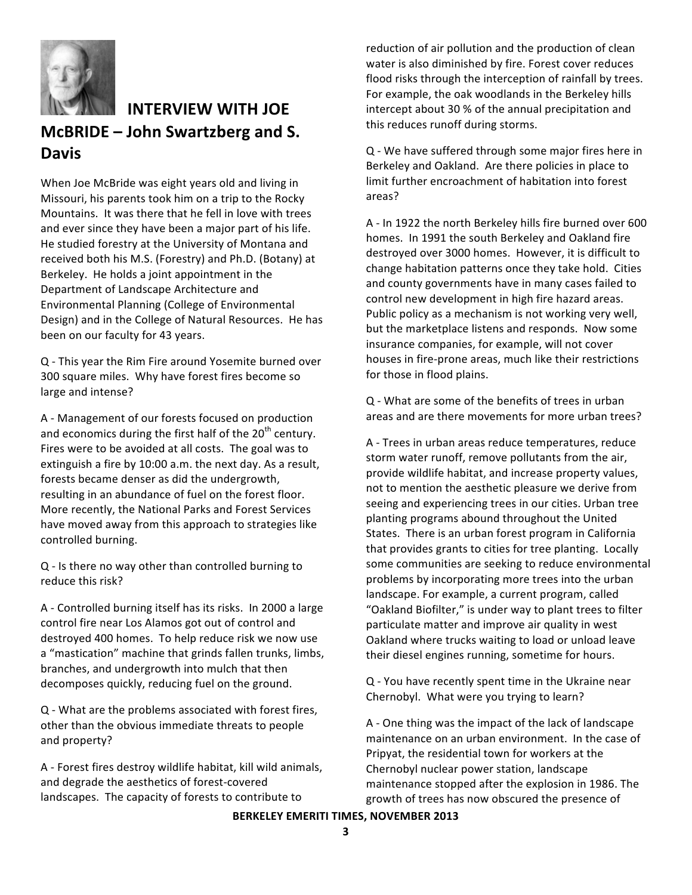

#### **INTERVIEW WITH JOE** McBRIDE - John Swartzberg and S. **Davis**

When Joe McBride was eight years old and living in Missouri, his parents took him on a trip to the Rocky Mountains. It was there that he fell in love with trees and ever since they have been a major part of his life. He studied forestry at the University of Montana and received both his M.S. (Forestry) and Ph.D. (Botany) at Berkeley. He holds a joint appointment in the Department of Landscape Architecture and Environmental Planning (College of Environmental Design) and in the College of Natural Resources. He has been on our faculty for 43 years.

Q - This year the Rim Fire around Yosemite burned over 300 square miles. Why have forest fires become so large and intense?

A - Management of our forests focused on production and economics during the first half of the 20<sup>th</sup> century. Fires were to be avoided at all costs. The goal was to extinguish a fire by 10:00 a.m. the next day. As a result, forests became denser as did the undergrowth, resulting in an abundance of fuel on the forest floor. More recently, the National Parks and Forest Services have moved away from this approach to strategies like controlled burning.

Q - Is there no way other than controlled burning to reduce this risk?

A - Controlled burning itself has its risks. In 2000 a large control fire near Los Alamos got out of control and destroyed 400 homes. To help reduce risk we now use a "mastication" machine that grinds fallen trunks, limbs, branches, and undergrowth into mulch that then decomposes quickly, reducing fuel on the ground.

Q - What are the problems associated with forest fires, other than the obvious immediate threats to people and property?

A - Forest fires destroy wildlife habitat, kill wild animals, and degrade the aesthetics of forest-covered landscapes. The capacity of forests to contribute to

reduction of air pollution and the production of clean water is also diminished by fire. Forest cover reduces flood risks through the interception of rainfall by trees. For example, the oak woodlands in the Berkeley hills intercept about 30 % of the annual precipitation and this reduces runoff during storms.

Q - We have suffered through some major fires here in Berkeley and Oakland. Are there policies in place to limit further encroachment of habitation into forest areas?

A - In 1922 the north Berkeley hills fire burned over 600 homes. In 1991 the south Berkeley and Oakland fire destroyed over 3000 homes. However, it is difficult to change habitation patterns once they take hold. Cities and county governments have in many cases failed to control new development in high fire hazard areas. Public policy as a mechanism is not working very well, but the marketplace listens and responds. Now some insurance companies, for example, will not cover houses in fire-prone areas, much like their restrictions for those in flood plains.

Q - What are some of the benefits of trees in urban areas and are there movements for more urban trees?

A - Trees in urban areas reduce temperatures, reduce storm water runoff, remove pollutants from the air, provide wildlife habitat, and increase property values, not to mention the aesthetic pleasure we derive from seeing and experiencing trees in our cities. Urban tree planting programs abound throughout the United States. There is an urban forest program in California that provides grants to cities for tree planting. Locally some communities are seeking to reduce environmental problems by incorporating more trees into the urban landscape. For example, a current program, called "Oakland Biofilter," is under way to plant trees to filter particulate matter and improve air quality in west Oakland where trucks waiting to load or unload leave their diesel engines running, sometime for hours.

Q - You have recently spent time in the Ukraine near Chernobyl. What were you trying to learn?

A - One thing was the impact of the lack of landscape maintenance on an urban environment. In the case of Pripyat, the residential town for workers at the Chernobyl nuclear power station, landscape maintenance stopped after the explosion in 1986. The growth of trees has now obscured the presence of

#### **BERKELEY EMERITI TIMES, NOVEMBER 2013**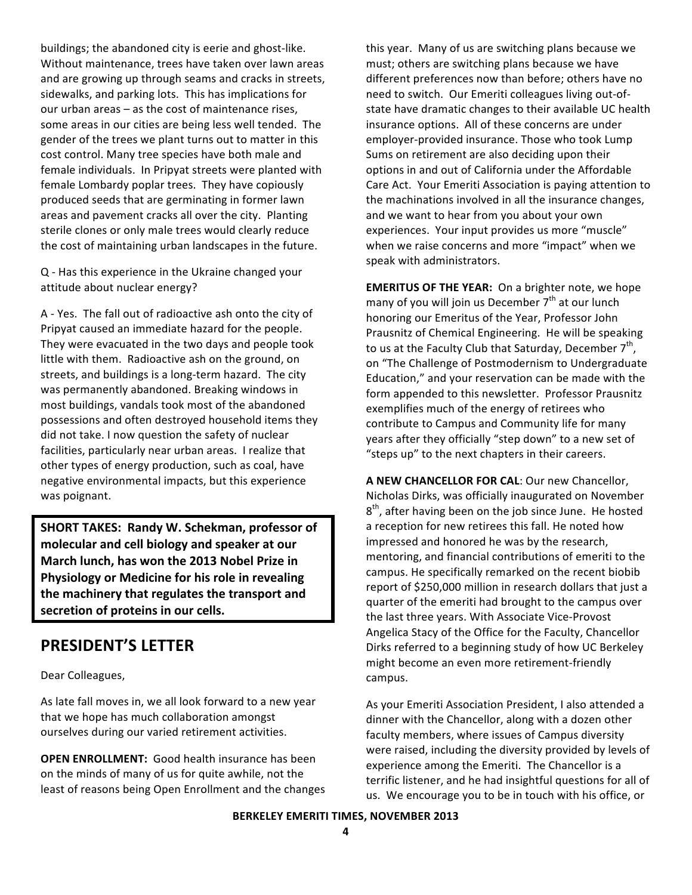buildings; the abandoned city is eerie and ghost-like. Without maintenance, trees have taken over lawn areas and are growing up through seams and cracks in streets, sidewalks, and parking lots. This has implications for our urban areas - as the cost of maintenance rises, some areas in our cities are being less well tended. The gender of the trees we plant turns out to matter in this cost control. Many tree species have both male and female individuals. In Pripyat streets were planted with female Lombardy poplar trees. They have copiously produced seeds that are germinating in former lawn areas and pavement cracks all over the city. Planting sterile clones or only male trees would clearly reduce the cost of maintaining urban landscapes in the future.

Q - Has this experience in the Ukraine changed your attitude about nuclear energy?

A - Yes. The fall out of radioactive ash onto the city of Pripyat caused an immediate hazard for the people. They were evacuated in the two days and people took little with them. Radioactive ash on the ground, on streets, and buildings is a long-term hazard. The city was permanently abandoned. Breaking windows in most buildings, vandals took most of the abandoned possessions and often destroyed household items they did not take. I now question the safety of nuclear facilities, particularly near urban areas. I realize that other types of energy production, such as coal, have negative environmental impacts, but this experience was poignant.

SHORT TAKES: Randy W. Schekman, professor of molecular and cell biology and speaker at our March lunch, has won the 2013 Nobel Prize in Physiology or Medicine for his role in revealing the machinery that regulates the transport and secretion of proteins in our cells.

#### **PRESIDENT'S LETTER**

Dear Colleagues,

As late fall moves in, we all look forward to a new year that we hope has much collaboration amongst ourselves during our varied retirement activities.

**OPEN ENROLLMENT:** Good health insurance has been on the minds of many of us for quite awhile, not the least of reasons being Open Enrollment and the changes this year. Many of us are switching plans because we must; others are switching plans because we have different preferences now than before; others have no need to switch. Our Emeriti colleagues living out-ofstate have dramatic changes to their available UC health insurance options. All of these concerns are under employer-provided insurance. Those who took Lump Sums on retirement are also deciding upon their options in and out of California under the Affordable Care Act. Your Emeriti Association is paying attention to the machinations involved in all the insurance changes, and we want to hear from you about your own experiences. Your input provides us more "muscle" when we raise concerns and more "impact" when we speak with administrators.

**EMERITUS OF THE YEAR:** On a brighter note, we hope many of you will join us December 7<sup>th</sup> at our lunch honoring our Emeritus of the Year, Professor John Prausnitz of Chemical Engineering. He will be speaking to us at the Faculty Club that Saturday, December  $7<sup>th</sup>$ , on "The Challenge of Postmodernism to Undergraduate Education," and your reservation can be made with the form appended to this newsletter. Professor Prausnitz exemplifies much of the energy of retirees who contribute to Campus and Community life for many years after they officially "step down" to a new set of "steps up" to the next chapters in their careers.

A NEW CHANCELLOR FOR CAL: Our new Chancellor, Nicholas Dirks, was officially inaugurated on November  $8<sup>th</sup>$ , after having been on the job since June. He hosted a reception for new retirees this fall. He noted how impressed and honored he was by the research, mentoring, and financial contributions of emeriti to the campus. He specifically remarked on the recent biobib report of \$250,000 million in research dollars that just a quarter of the emeriti had brought to the campus over the last three years. With Associate Vice-Provost Angelica Stacy of the Office for the Faculty, Chancellor Dirks referred to a beginning study of how UC Berkeley might become an even more retirement-friendly campus.

As your Emeriti Association President, I also attended a dinner with the Chancellor, along with a dozen other faculty members, where issues of Campus diversity were raised, including the diversity provided by levels of experience among the Emeriti. The Chancellor is a terrific listener, and he had insightful questions for all of us. We encourage you to be in touch with his office, or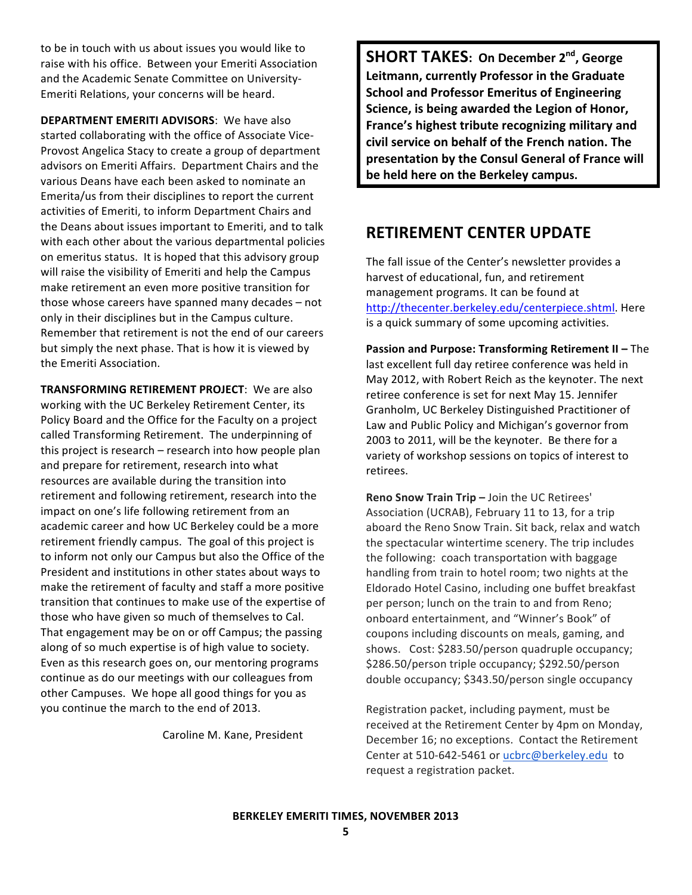to be in touch with us about issues you would like to raise with his office. Between your Emeriti Association and the Academic Senate Committee on University-Emeriti Relations, your concerns will be heard.

**DEPARTMENT EMERITI ADVISORS:** We have also started collaborating with the office of Associate Vice-Provost Angelica Stacy to create a group of department advisors on Emeriti Affairs. Department Chairs and the various Deans have each been asked to nominate an Emerita/us from their disciplines to report the current activities of Emeriti, to inform Department Chairs and the Deans about issues important to Emeriti, and to talk with each other about the various departmental policies on emeritus status. It is hoped that this advisory group will raise the visibility of Emeriti and help the Campus make retirement an even more positive transition for those whose careers have spanned many decades - not only in their disciplines but in the Campus culture. Remember that retirement is not the end of our careers but simply the next phase. That is how it is viewed by the Emeriti Association.

**TRANSFORMING RETIREMENT PROJECT:** We are also working with the UC Berkeley Retirement Center, its Policy Board and the Office for the Faculty on a project called Transforming Retirement. The underpinning of this project is research – research into how people plan and prepare for retirement, research into what resources are available during the transition into retirement and following retirement, research into the impact on one's life following retirement from an academic career and how UC Berkeley could be a more retirement friendly campus. The goal of this project is to inform not only our Campus but also the Office of the President and institutions in other states about ways to make the retirement of faculty and staff a more positive transition that continues to make use of the expertise of those who have given so much of themselves to Cal. That engagement may be on or off Campus; the passing along of so much expertise is of high value to society. Even as this research goes on, our mentoring programs continue as do our meetings with our colleagues from other Campuses. We hope all good things for you as you continue the march to the end of 2013.

Caroline M. Kane, President

**SHORT TAKES: On December 2nd, George** Leitmann, currently Professor in the Graduate **School and Professor Emeritus of Engineering** Science, is being awarded the Legion of Honor, France's highest tribute recognizing military and civil service on behalf of the French nation. The presentation by the Consul General of France will be held here on the Berkeley campus.

#### **RETIREMENT CENTER UPDATE**

The fall issue of the Center's newsletter provides a harvest of educational, fun, and retirement management programs. It can be found at http://thecenter.berkeley.edu/centerpiece.shtml. Here is a quick summary of some upcoming activities.

Passion and Purpose: Transforming Retirement II - The last excellent full day retiree conference was held in May 2012, with Robert Reich as the keynoter. The next retiree conference is set for next May 15. Jennifer Granholm, UC Berkeley Distinguished Practitioner of Law and Public Policy and Michigan's governor from 2003 to 2011, will be the keynoter. Be there for a variety of workshop sessions on topics of interest to retirees.

Reno Snow Train Trip - Join the UC Retirees' Association (UCRAB), February 11 to 13, for a trip aboard the Reno Snow Train. Sit back, relax and watch the spectacular wintertime scenery. The trip includes the following: coach transportation with baggage handling from train to hotel room; two nights at the Eldorado Hotel Casino, including one buffet breakfast per person; lunch on the train to and from Reno; onboard entertainment, and "Winner's Book" of coupons including discounts on meals, gaming, and shows. Cost: \$283.50/person quadruple occupancy; \$286.50/person triple occupancy; \$292.50/person double occupancy; \$343.50/person single occupancy

Registration packet, including payment, must be received at the Retirement Center by 4pm on Monday, December 16; no exceptions. Contact the Retirement Center at 510-642-5461 or ucbrc@berkeley.edu to request a registration packet.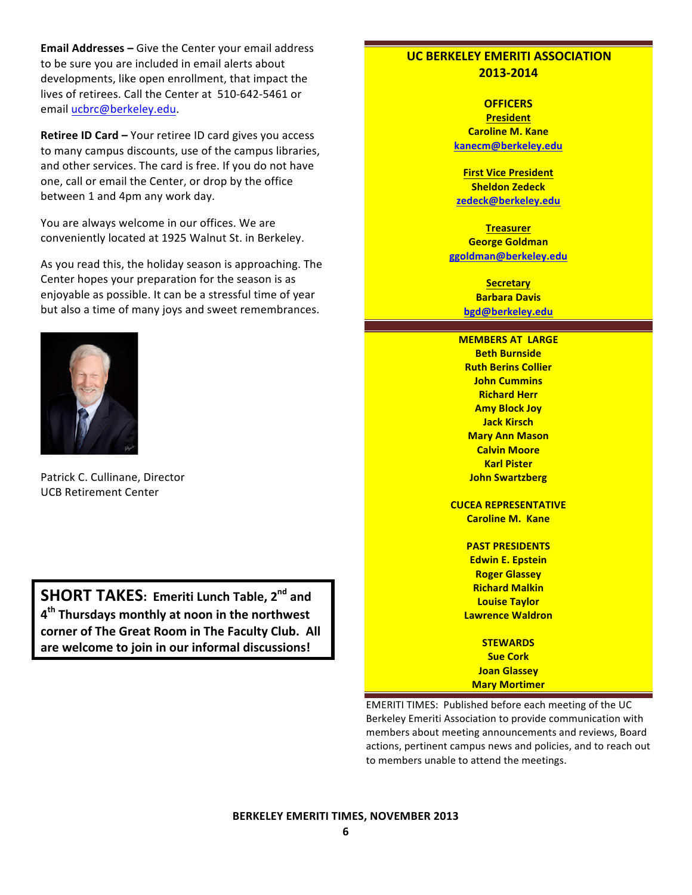Email Addresses - Give the Center your email address to be sure you are included in email alerts about developments, like open enrollment, that impact the lives of retirees. Call the Center at 510-642-5461 or email ucbrc@berkeley.edu.

Retiree ID Card - Your retiree ID card gives you access to many campus discounts, use of the campus libraries, and other services. The card is free. If you do not have one, call or email the Center, or drop by the office between 1 and 4pm any work day.

You are always welcome in our offices. We are conveniently located at 1925 Walnut St. in Berkeley.

As you read this, the holiday season is approaching. The Center hopes your preparation for the season is as enjovable as possible. It can be a stressful time of year but also a time of many joys and sweet remembrances.



Patrick C. Cullinane, Director **UCB Retirement Center** 

**SHORT TAKES: Emeriti Lunch Table, 2nd and** 4<sup>th</sup> Thursdays monthly at noon in the northwest corner of The Great Room in The Faculty Club. All are welcome to join in our informal discussions!

#### **UC BERKELEY EMERITI ASSOCIATION** 2013-2014

**OFFICERS President Caroline M. Kane** kanecm@berkeley.edu

**First Vice President Sheldon Zedeck** zedeck@berkeley.edu

**Treasurer George Goldman** ggoldman@berkeley.edu

> **Secretary Barbara Davis** bgd@berkeley.edu

**MEMBERS AT LARGE Beth Burnside Ruth Berins Collier John Cummins Richard Herr Amy Block Joy Jack Kirsch Mary Ann Mason Calvin Moore Karl Pister John Swartzberg** 

**CUCEA REPRESENTATIVE Caroline M. Kane** 

> **PAST PRESIDENTS Edwin E. Epstein Roger Glassey Richard Malkin Louise Taylor Lawrence Waldron**

> > **STEWARDS Sue Cork Joan Glassey**

**Mary Mortimer** EMERITI TIMES: Published before each meeting of the UC Berkeley Emeriti Association to provide communication with members about meeting announcements and reviews, Board actions, pertinent campus news and policies, and to reach out to members unable to attend the meetings.